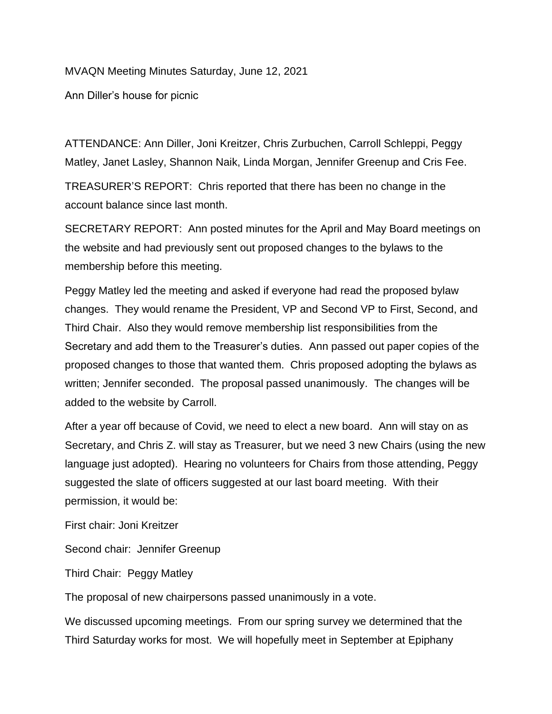## MVAQN Meeting Minutes Saturday, June 12, 2021

Ann Diller's house for picnic

ATTENDANCE: Ann Diller, Joni Kreitzer, Chris Zurbuchen, Carroll Schleppi, Peggy Matley, Janet Lasley, Shannon Naik, Linda Morgan, Jennifer Greenup and Cris Fee.

TREASURER'S REPORT: Chris reported that there has been no change in the account balance since last month.

SECRETARY REPORT: Ann posted minutes for the April and May Board meetings on the website and had previously sent out proposed changes to the bylaws to the membership before this meeting.

Peggy Matley led the meeting and asked if everyone had read the proposed bylaw changes. They would rename the President, VP and Second VP to First, Second, and Third Chair. Also they would remove membership list responsibilities from the Secretary and add them to the Treasurer's duties. Ann passed out paper copies of the proposed changes to those that wanted them. Chris proposed adopting the bylaws as written; Jennifer seconded. The proposal passed unanimously. The changes will be added to the website by Carroll.

After a year off because of Covid, we need to elect a new board. Ann will stay on as Secretary, and Chris Z. will stay as Treasurer, but we need 3 new Chairs (using the new language just adopted). Hearing no volunteers for Chairs from those attending, Peggy suggested the slate of officers suggested at our last board meeting. With their permission, it would be:

First chair: Joni Kreitzer

Second chair: Jennifer Greenup

Third Chair: Peggy Matley

The proposal of new chairpersons passed unanimously in a vote.

We discussed upcoming meetings. From our spring survey we determined that the Third Saturday works for most. We will hopefully meet in September at Epiphany